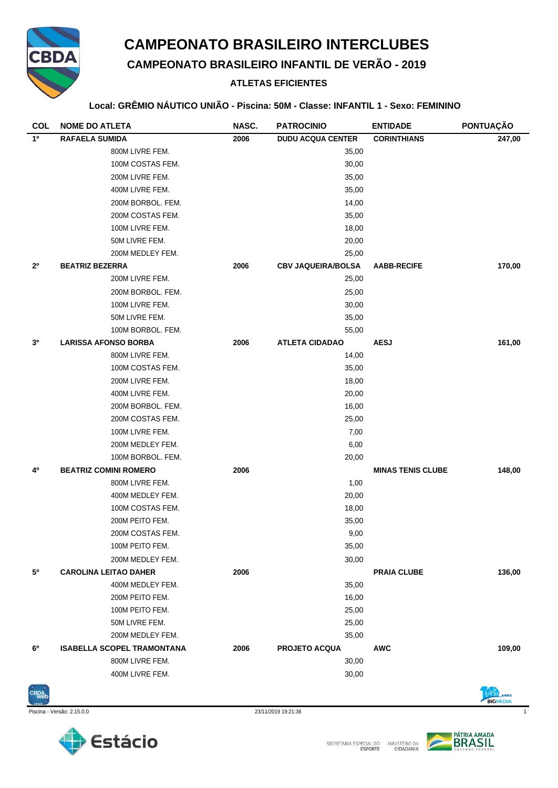

# **CAMPEONATO BRASILEIRO INTERCLUBES**

**CAMPEONATO BRASILEIRO INFANTIL DE VERÃO - 2019**

## **ATLETAS EFICIENTES**

#### **Local: GRÊMIO NÁUTICO UNIÃO - Piscina: 50M - Classe: INFANTIL 1 - Sexo: FEMININO**

| <b>COL</b>     | <b>NOME DO ATLETA</b>             | NASC. | <b>PATROCINIO</b>         | <b>ENTIDADE</b>          | PONTUAÇÃO |
|----------------|-----------------------------------|-------|---------------------------|--------------------------|-----------|
| 1 <sup>0</sup> | <b>RAFAELA SUMIDA</b>             | 2006  | <b>DUDU ACQUA CENTER</b>  | <b>CORINTHIANS</b>       | 247,00    |
|                | 800M LIVRE FEM.                   |       | 35,00                     |                          |           |
|                | 100M COSTAS FEM.                  |       | 30,00                     |                          |           |
|                | 200M LIVRE FEM.                   |       | 35,00                     |                          |           |
|                | 400M LIVRE FEM.                   |       | 35,00                     |                          |           |
|                | 200M BORBOL. FEM.                 |       | 14,00                     |                          |           |
|                | 200M COSTAS FEM.                  |       | 35,00                     |                          |           |
|                | 100M LIVRE FEM.                   |       | 18,00                     |                          |           |
|                | 50M LIVRE FEM.                    |       | 20,00                     |                          |           |
|                | 200M MEDLEY FEM.                  |       | 25,00                     |                          |           |
| 2 <sup>0</sup> | <b>BEATRIZ BEZERRA</b>            | 2006  | <b>CBV JAQUEIRA/BOLSA</b> | <b>AABB-RECIFE</b>       | 170,00    |
|                | 200M LIVRE FEM.                   |       | 25,00                     |                          |           |
|                | 200M BORBOL. FEM.                 |       | 25,00                     |                          |           |
|                | 100M LIVRE FEM.                   |       | 30,00                     |                          |           |
|                | 50M LIVRE FEM.                    |       | 35,00                     |                          |           |
|                | 100M BORBOL. FEM.                 |       | 55,00                     |                          |           |
| 3 <sup>o</sup> | <b>LARISSA AFONSO BORBA</b>       | 2006  | <b>ATLETA CIDADAO</b>     | <b>AESJ</b>              | 161,00    |
|                | 800M LIVRE FEM.                   |       | 14,00                     |                          |           |
|                | 100M COSTAS FEM.                  |       | 35,00                     |                          |           |
|                | 200M LIVRE FEM.                   |       | 18,00                     |                          |           |
|                | 400M LIVRE FEM.                   |       | 20,00                     |                          |           |
|                | 200M BORBOL. FEM.                 |       | 16,00                     |                          |           |
|                | 200M COSTAS FEM.                  |       | 25,00                     |                          |           |
|                | 100M LIVRE FEM.                   |       | 7,00                      |                          |           |
|                | 200M MEDLEY FEM.                  |       | 6,00                      |                          |           |
|                | 100M BORBOL. FEM.                 |       | 20,00                     |                          |           |
| 4º             | <b>BEATRIZ COMINI ROMERO</b>      | 2006  |                           | <b>MINAS TENIS CLUBE</b> | 148,00    |
|                | 800M LIVRE FEM.                   |       | 1,00                      |                          |           |
|                | 400M MEDLEY FEM.                  |       | 20,00                     |                          |           |
|                | 100M COSTAS FEM.                  |       | 18,00                     |                          |           |
|                | 200M PEITO FEM.                   |       | 35,00                     |                          |           |
|                | 200M COSTAS FEM.                  |       | 9,00                      |                          |           |
|                | 100M PEITO FEM.                   |       | 35,00                     |                          |           |
|                | 200M MEDLEY FEM.                  |       | 30,00                     |                          |           |
| 5°             | <b>CAROLINA LEITAO DAHER</b>      | 2006  |                           | <b>PRAIA CLUBE</b>       | 136,00    |
|                | 400M MEDLEY FEM.                  |       | 35,00                     |                          |           |
|                | 200M PEITO FEM.                   |       | 16,00                     |                          |           |
|                | 100M PEITO FEM.                   |       | 25,00                     |                          |           |
|                | 50M LIVRE FEM.                    |       | 25,00                     |                          |           |
|                | 200M MEDLEY FEM.                  |       | 35,00                     |                          |           |
| 6°             | <b>ISABELLA SCOPEL TRAMONTANA</b> | 2006  | <b>PROJETO ACQUA</b>      | <b>AWC</b>               | 109,00    |
|                | 800M LIVRE FEM.                   |       | 30,00                     |                          |           |
|                | 400M LIVRE FEM.                   |       | 30,00                     |                          |           |



Piscina - Versão: 2.15.0.0 23/11/2019 19:21:36 1





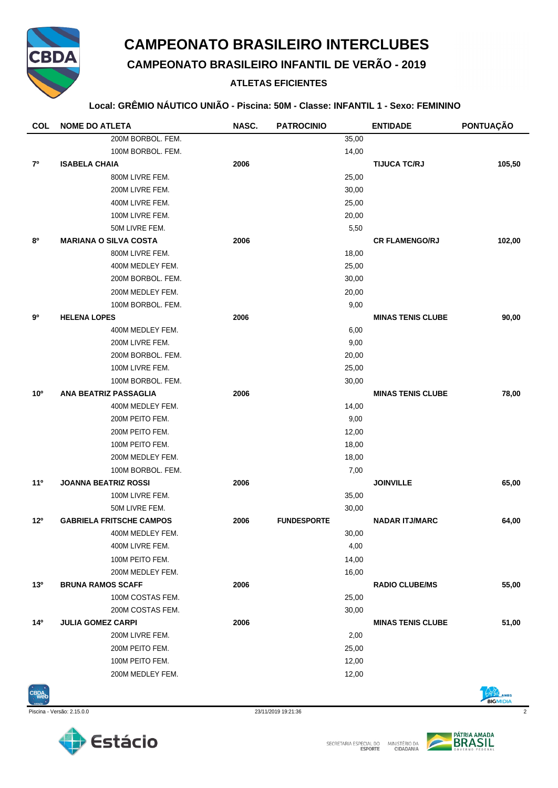

## **CAMPEONATO BRASILEIRO INTERCLUBES**

**CAMPEONATO BRASILEIRO INFANTIL DE VERÃO - 2019**

## **ATLETAS EFICIENTES**

#### **Local: GRÊMIO NÁUTICO UNIÃO - Piscina: 50M - Classe: INFANTIL 1 - Sexo: FEMININO**

| NASC.<br><b>COL</b><br><b>NOME DO ATLETA</b><br><b>PATROCINIO</b><br><b>ENTIDADE</b>                      | <b>PONTUAÇÃO</b> |
|-----------------------------------------------------------------------------------------------------------|------------------|
| 200M BORBOL. FEM.<br>35,00                                                                                |                  |
| 100M BORBOL. FEM.<br>14,00                                                                                |                  |
| 2006<br><b>TIJUCA TC/RJ</b><br>70<br><b>ISABELA CHAIA</b>                                                 | 105,50           |
| 800M LIVRE FEM.<br>25,00                                                                                  |                  |
| 200M LIVRE FEM.<br>30,00                                                                                  |                  |
| 400M LIVRE FEM.<br>25,00                                                                                  |                  |
| 100M LIVRE FEM.<br>20,00                                                                                  |                  |
| 50M LIVRE FEM.<br>5,50                                                                                    |                  |
| 80<br><b>MARIANA O SILVA COSTA</b><br>2006<br><b>CR FLAMENGO/RJ</b>                                       | 102,00           |
| 800M LIVRE FEM.<br>18,00                                                                                  |                  |
| 25,00<br>400M MEDLEY FEM.                                                                                 |                  |
| 200M BORBOL. FEM.<br>30,00                                                                                |                  |
| 200M MEDLEY FEM.<br>20,00                                                                                 |                  |
| 100M BORBOL. FEM.<br>9,00                                                                                 |                  |
| 90<br><b>HELENA LOPES</b><br>2006<br><b>MINAS TENIS CLUBE</b>                                             | 90,00            |
| 400M MEDLEY FEM.<br>6,00                                                                                  |                  |
| 200M LIVRE FEM.<br>9,00                                                                                   |                  |
| 200M BORBOL. FEM.<br>20,00                                                                                |                  |
| 100M LIVRE FEM.<br>25,00                                                                                  |                  |
| 100M BORBOL, FEM.<br>30,00                                                                                |                  |
| 10 <sup>o</sup><br><b>ANA BEATRIZ PASSAGLIA</b><br>2006<br><b>MINAS TENIS CLUBE</b>                       | 78,00            |
| 400M MEDLEY FEM.<br>14,00                                                                                 |                  |
| 200M PEITO FEM.<br>9,00                                                                                   |                  |
| 200M PEITO FEM.<br>12,00                                                                                  |                  |
| 100M PEITO FEM.<br>18,00                                                                                  |                  |
| 200M MEDLEY FEM.<br>18,00                                                                                 |                  |
| 100M BORBOL. FEM.<br>7,00                                                                                 |                  |
| <b>JOANNA BEATRIZ ROSSI</b><br><b>JOINVILLE</b><br>$11^{\circ}$<br>2006                                   | 65,00            |
| 35,00<br>100M LIVRE FEM.                                                                                  |                  |
| 50M LIVRE FEM.<br>30,00                                                                                   |                  |
| 12 <sup>o</sup><br><b>GABRIELA FRITSCHE CAMPOS</b><br>2006<br><b>FUNDESPORTE</b><br><b>NADAR ITJ/MARC</b> | 64,00            |
| 30,00<br>400M MEDLEY FEM.                                                                                 |                  |
| 400M LIVRE FEM.<br>4,00                                                                                   |                  |
| 14,00<br>100M PEITO FEM.                                                                                  |                  |
| 16,00<br>200M MEDLEY FEM.                                                                                 |                  |
| 13 <sup>o</sup><br><b>BRUNA RAMOS SCAFF</b><br>2006<br><b>RADIO CLUBE/MS</b>                              | 55,00            |
| 100M COSTAS FEM.<br>25,00                                                                                 |                  |
| 200M COSTAS FEM.<br>30,00                                                                                 |                  |
| <b>JULIA GOMEZ CARPI</b><br>2006<br>14º<br><b>MINAS TENIS CLUBE</b>                                       | 51,00            |
| 200M LIVRE FEM.<br>2,00                                                                                   |                  |
| 200M PEITO FEM.<br>25,00                                                                                  |                  |
| 12,00<br>100M PEITO FEM.                                                                                  |                  |
| 200M MEDLEY FEM.<br>12,00                                                                                 |                  |